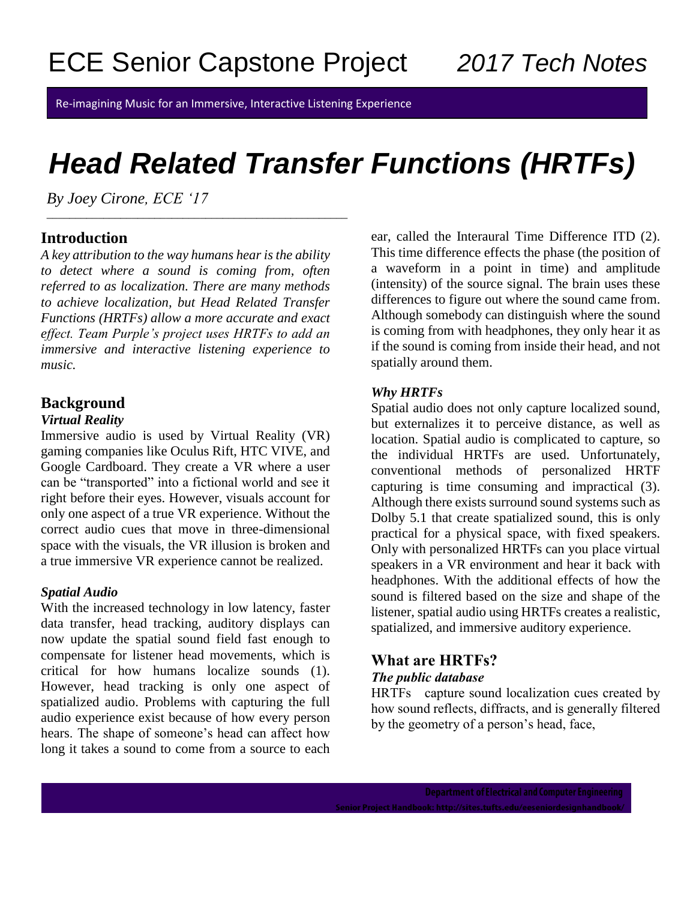Re-imagining Music for an Immersive, Interactive Listening Experience

# *Head Related Transfer Functions (HRTFs)*

*By Joey Cirone, ECE '17*

# **Introduction**

*A key attribution to the way humans hear is the ability to detect where a sound is coming from, often referred to as localization. There are many methods to achieve localization, but Head Related Transfer Functions (HRTFs) allow a more accurate and exact effect. Team Purple's project uses HRTFs to add an immersive and interactive listening experience to music.* 

\_\_\_\_\_\_\_\_\_\_\_\_\_\_\_\_\_\_\_\_\_\_\_\_\_\_\_\_\_\_\_\_\_\_\_\_\_\_\_\_\_\_\_\_\_\_\_\_\_\_\_\_\_

# **Background**

### *Virtual Reality*

Immersive audio is used by Virtual Reality (VR) gaming companies like Oculus Rift, HTC VIVE, and Google Cardboard. They create a VR where a user can be "transported" into a fictional world and see it right before their eyes. However, visuals account for only one aspect of a true VR experience. Without the correct audio cues that move in three-dimensional space with the visuals, the VR illusion is broken and a true immersive VR experience cannot be realized.

### *Spatial Audio*

With the increased technology in low latency, faster data transfer, head tracking, auditory displays can now update the spatial sound field fast enough to compensate for listener head movements, which is critical for how humans localize sounds (1). However, head tracking is only one aspect of spatialized audio. Problems with capturing the full audio experience exist because of how every person hears. The shape of someone's head can affect how long it takes a sound to come from a source to each

ear, called the Interaural Time Difference ITD (2). This time difference effects the phase (the position of a waveform in a point in time) and amplitude (intensity) of the source signal. The brain uses these differences to figure out where the sound came from. Although somebody can distinguish where the sound is coming from with headphones, they only hear it as if the sound is coming from inside their head, and not spatially around them.

#### *Why HRTFs*

Spatial audio does not only capture localized sound, but externalizes it to perceive distance, as well as location. Spatial audio is complicated to capture, so the individual HRTFs are used. Unfortunately, conventional methods of personalized HRTF capturing is time consuming and impractical (3). Although there exists surround sound systems such as Dolby 5.1 that create spatialized sound, this is only practical for a physical space, with fixed speakers. Only with personalized HRTFs can you place virtual speakers in a VR environment and hear it back with headphones. With the additional effects of how the sound is filtered based on the size and shape of the listener, spatial audio using HRTFs creates a realistic, spatialized, and immersive auditory experience.

#### What are HRTFs? *The public database*

HRTFs capture sound localization cues created by how sound reflects, diffracts, and is generally filtered by the geometry of a person's head, face,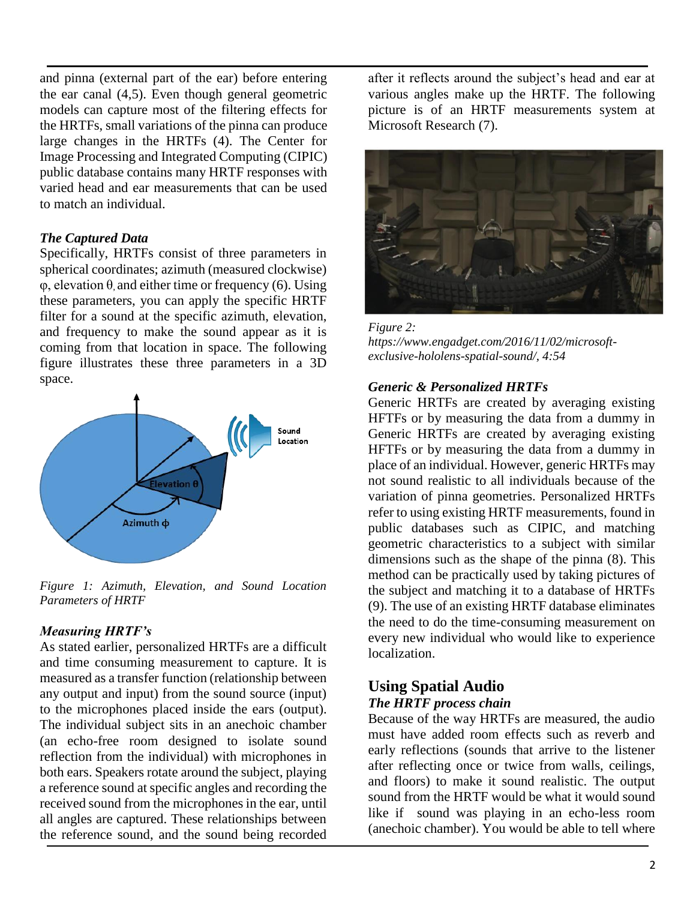and pinna (external part of the ear) before entering the ear canal (4,5). Even though general geometric models can capture most of the filtering effects for the HRTFs, small variations of the pinna can produce large changes in the HRTFs (4). The Center for Image Processing and Integrated Computing (CIPIC) public database contains many HRTF responses with varied head and ear measurements that can be used to match an individual.

#### *The Captured Data*

Specifically, HRTFs consist of three parameters in spherical coordinates; azimuth (measured clockwise) φ, elevation θ, and either time or frequency (6). Using these parameters, you can apply the specific HRTF filter for a sound at the specific azimuth, elevation, and frequency to make the sound appear as it is coming from that location in space. The following figure illustrates these three parameters in a 3D space.



*Figure 1: Azimuth, Elevation, and Sound Location Parameters of HRTF*

### *Measuring HRTF's*

As stated earlier, personalized HRTFs are a difficult and time consuming measurement to capture. It is measured as a transfer function (relationship between any output and input) from the sound source (input) to the microphones placed inside the ears (output). The individual subject sits in an anechoic chamber (an echo-free room designed to isolate sound reflection from the individual) with microphones in both ears. Speakers rotate around the subject, playing a reference sound at specific angles and recording the received sound from the microphones in the ear, until all angles are captured. These relationships between the reference sound, and the sound being recorded after it reflects around the subject's head and ear at various angles make up the HRTF. The following picture is of an HRTF measurements system at Microsoft Research (7).



*Figure 2: [https://www.engad](https://www.enga/)get.com/2016/11/02/microsoftexclusive-hololens-spatial-sound/, 4:54*

#### *Generic & Personalized HRTFs*

Generic HRTFs are created by averaging existing HFTFs or by measuring the data from a dummy in Generic HRTFs are created by averaging existing HFTFs or by measuring the data from a dummy in place of an individual. However, generic HRTFs may not sound realistic to all individuals because of the variation of pinna geometries. Personalized HRTFs refer to using existing HRTF measurements, found in public databases such as CIPIC, and matching geometric characteristics to a subject with similar dimensions such as the shape of the pinna (8). This method can be practically used by taking pictures of the subject and matching it to a database of HRTFs (9). The use of an existing HRTF database eliminates the need to do the time-consuming measurement on every new individual who would like to experience localization.

# **Using Spatial Audio**

#### *The HRTF process chain*

Because of the way HRTFs are measured, the audio must have added room effects such as reverb and early reflections (sounds that arrive to the listener after reflecting once or twice from walls, ceilings, and floors) to make it sound realistic. The output sound from the HRTF would be what it would sound like if sound was playing in an echo-less room (anechoic chamber). You would be able to tell where